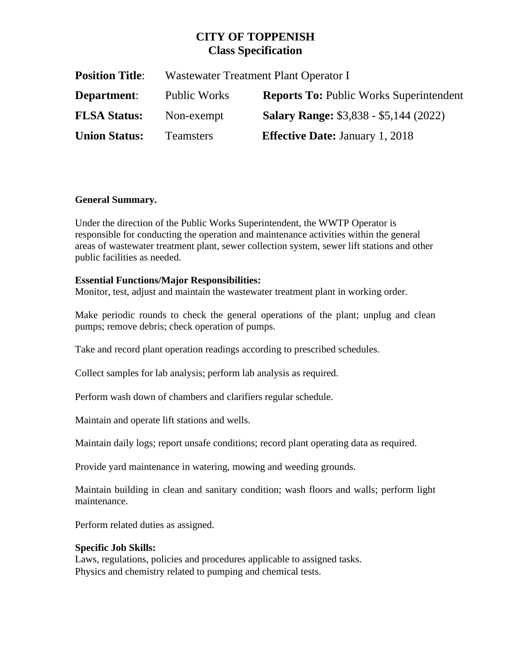# **CITY OF TOPPENISH Class Specification**

| <b>Position Title:</b> | Wastewater Treatment Plant Operator I |                                                |
|------------------------|---------------------------------------|------------------------------------------------|
| <b>Department:</b>     | <b>Public Works</b>                   | <b>Reports To: Public Works Superintendent</b> |
| <b>FLSA Status:</b>    | Non-exempt                            | <b>Salary Range: \$3,838 - \$5,144 (2022)</b>  |
| <b>Union Status:</b>   | <b>Teamsters</b>                      | <b>Effective Date: January 1, 2018</b>         |

# **General Summary.**

Under the direction of the Public Works Superintendent, the WWTP Operator is responsible for conducting the operation and maintenance activities within the general areas of wastewater treatment plant, sewer collection system, sewer lift stations and other public facilities as needed.

## **Essential Functions/Major Responsibilities:**

Monitor, test, adjust and maintain the wastewater treatment plant in working order.

Make periodic rounds to check the general operations of the plant; unplug and clean pumps; remove debris; check operation of pumps.

Take and record plant operation readings according to prescribed schedules.

Collect samples for lab analysis; perform lab analysis as required.

Perform wash down of chambers and clarifiers regular schedule.

Maintain and operate lift stations and wells.

Maintain daily logs; report unsafe conditions; record plant operating data as required.

Provide yard maintenance in watering, mowing and weeding grounds.

Maintain building in clean and sanitary condition; wash floors and walls; perform light maintenance.

Perform related duties as assigned.

## **Specific Job Skills:**

Laws, regulations, policies and procedures applicable to assigned tasks. Physics and chemistry related to pumping and chemical tests.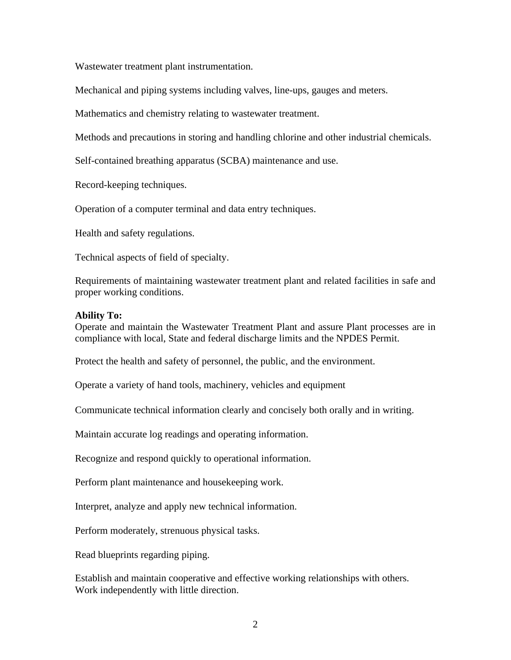Wastewater treatment plant instrumentation.

Mechanical and piping systems including valves, line-ups, gauges and meters.

Mathematics and chemistry relating to wastewater treatment.

Methods and precautions in storing and handling chlorine and other industrial chemicals.

Self-contained breathing apparatus (SCBA) maintenance and use.

Record-keeping techniques.

Operation of a computer terminal and data entry techniques.

Health and safety regulations.

Technical aspects of field of specialty.

Requirements of maintaining wastewater treatment plant and related facilities in safe and proper working conditions.

#### **Ability To:**

Operate and maintain the Wastewater Treatment Plant and assure Plant processes are in compliance with local, State and federal discharge limits and the NPDES Permit.

Protect the health and safety of personnel, the public, and the environment.

Operate a variety of hand tools, machinery, vehicles and equipment

Communicate technical information clearly and concisely both orally and in writing.

Maintain accurate log readings and operating information.

Recognize and respond quickly to operational information.

Perform plant maintenance and housekeeping work.

Interpret, analyze and apply new technical information.

Perform moderately, strenuous physical tasks.

Read blueprints regarding piping.

Establish and maintain cooperative and effective working relationships with others. Work independently with little direction.